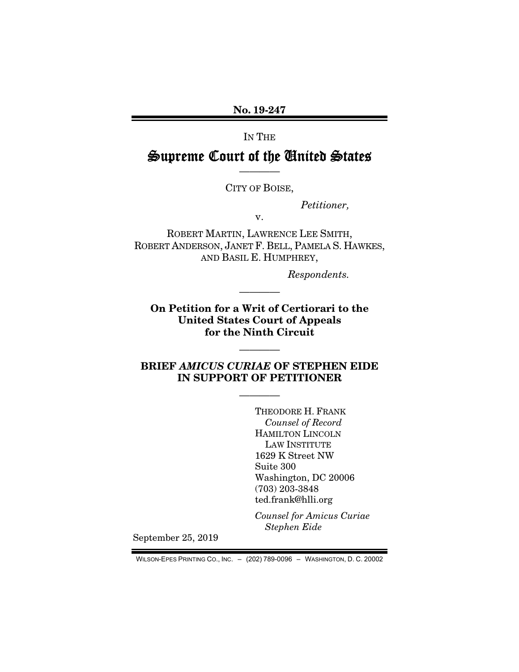No. 19-247

IN THE

# Supreme Court of the United States ————

CITY OF BOISE,

*Petitioner,* 

v.

ROBERT MARTIN, LAWRENCE LEE SMITH, ROBERT ANDERSON, JANET F. BELL, PAMELA S. HAWKES, AND BASIL E. HUMPHREY,

*Respondents.* 

On Petition for a Writ of Certiorari to the United States Court of Appeals for the Ninth Circuit

————

————

BRIEF *AMICUS CURIAE* OF STEPHEN EIDE IN SUPPORT OF PETITIONER

————

THEODORE H. FRANK *Counsel of Record*  HAMILTON LINCOLN LAW INSTITUTE 1629 K Street NW Suite 300 Washington, DC 20006 (703) 203-3848 ted.frank@hlli.org

*Counsel for Amicus Curiae Stephen Eide* 

September 25, 2019

WILSON-EPES PRINTING CO., INC. – (202) 789-0096 – WASHINGTON, D. C. 20002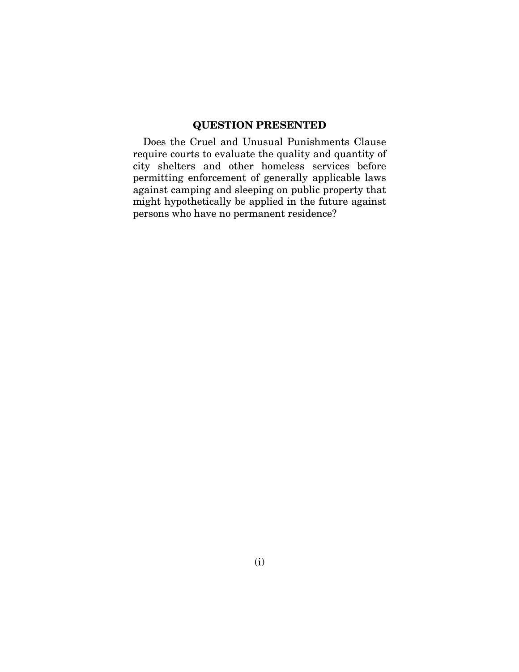#### QUESTION PRESENTED

Does the Cruel and Unusual Punishments Clause require courts to evaluate the quality and quantity of city shelters and other homeless services before permitting enforcement of generally applicable laws against camping and sleeping on public property that might hypothetically be applied in the future against persons who have no permanent residence?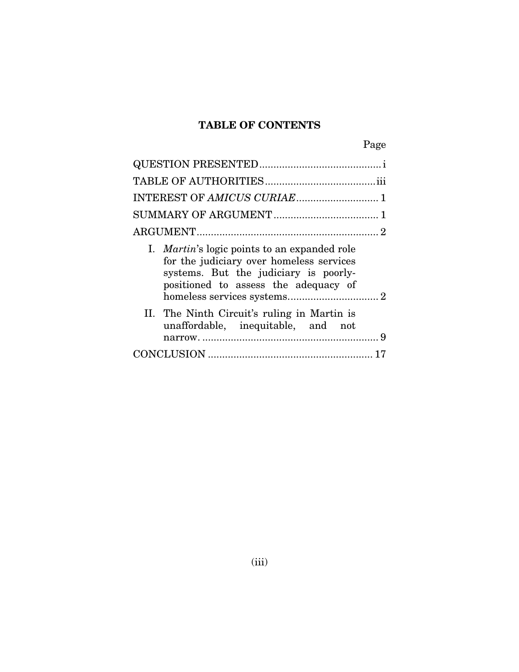## TABLE OF CONTENTS

| ۰, |
|----|
|----|

| INTEREST OF AMICUS CURIAE 1                                                                                                                                                      |
|----------------------------------------------------------------------------------------------------------------------------------------------------------------------------------|
|                                                                                                                                                                                  |
|                                                                                                                                                                                  |
| I. <i>Martin's</i> logic points to an expanded role<br>for the judiciary over homeless services<br>systems. But the judiciary is poorly-<br>positioned to assess the adequacy of |
| II. The Ninth Circuit's ruling in Martin is<br>unaffordable, inequitable, and not                                                                                                |
|                                                                                                                                                                                  |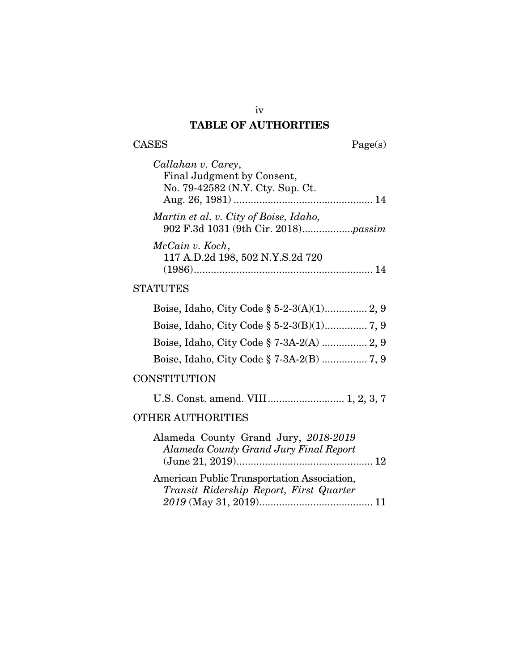# TABLE OF AUTHORITIES

 $\begin{tabular}{cc} \textbf{CASES} & \textbf{Page(s)}\\ \end{tabular}$ 

| Callahan v. Carey,                                                            |
|-------------------------------------------------------------------------------|
| Final Judgment by Consent,                                                    |
| No. 79-42582 (N.Y. Cty. Sup. Ct.                                              |
|                                                                               |
| Martin et al. v. City of Boise, Idaho,<br>902 F.3d 1031 (9th Cir. 2018)passim |
| McCain v. Koch,<br>117 A.D.2d 198, 502 N.Y.S.2d 720                           |
|                                                                               |

#### **STATUTES**

#### **CONSTITUTION**

|--|--|--|--|--|

#### OTHER AUTHORITIES

| Alameda County Grand Jury, 2018-2019        |  |
|---------------------------------------------|--|
| Alameda County Grand Jury Final Report      |  |
|                                             |  |
| American Public Transportation Association, |  |
| Transit Ridership Report, First Quarter     |  |
|                                             |  |

iv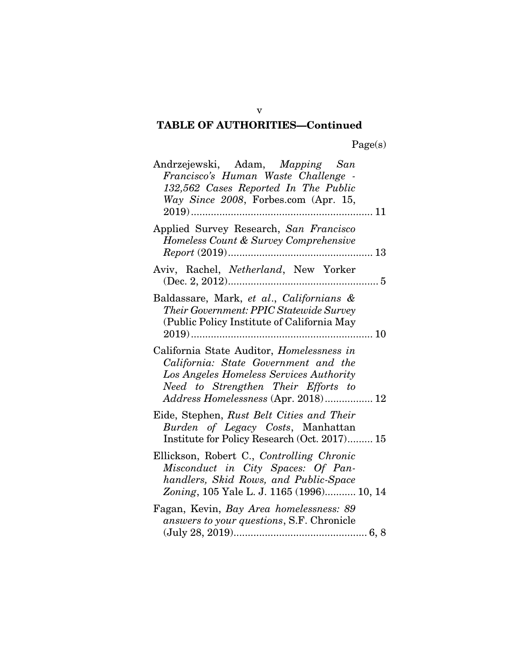| Andrzejewski, Adam, Mapping San<br>Francisco's Human Waste Challenge -<br>132,562 Cases Reported In The Public<br>Way Since 2008, Forbes.com (Apr. 15,<br>11                                               |
|------------------------------------------------------------------------------------------------------------------------------------------------------------------------------------------------------------|
| Applied Survey Research, San Francisco<br>Homeless Count & Survey Comprehensive<br>$Report (2019)$<br>13                                                                                                   |
| Aviv, Rachel, Netherland, New Yorker                                                                                                                                                                       |
| Baldassare, Mark, et al., Californians &<br>Their Government: PPIC Statewide Survey<br>(Public Policy Institute of California May<br>$2019)$<br>10<br>.                                                    |
| California State Auditor, Homelessness in<br>California: State Government and the<br>Los Angeles Homeless Services Authority<br>Need to Strengthen Their Efforts to<br>Address Homelessness (Apr. 2018) 12 |
| Eide, Stephen, Rust Belt Cities and Their<br>Burden of Legacy Costs, Manhattan<br>Institute for Policy Research (Oct. 2017) 15                                                                             |
| Ellickson, Robert C., Controlling Chronic<br>Misconduct in City Spaces: Of Pan-<br>handlers, Skid Rows, and Public-Space<br>Zoning, 105 Yale L. J. 1165 (1996) 10, 14                                      |
| Fagan, Kevin, Bay Area homelessness: 89<br>answers to your questions, S.F. Chronicle                                                                                                                       |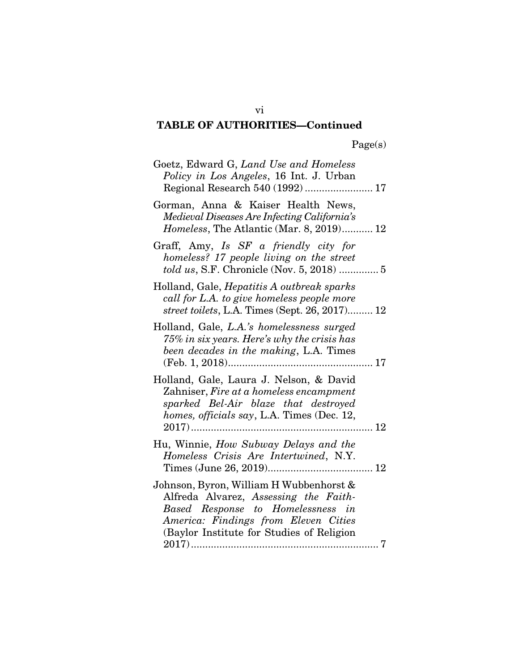| Goetz, Edward G, Land Use and Homeless<br>Policy in Los Angeles, 16 Int. J. Urban                                                                                                                               |
|-----------------------------------------------------------------------------------------------------------------------------------------------------------------------------------------------------------------|
| Gorman, Anna & Kaiser Health News.<br>Medieval Diseases Are Infecting California's<br><i>Homeless</i> , The Atlantic (Mar. 8, 2019) 12                                                                          |
| Graff, Amy, Is SF a friendly city for<br>homeless? 17 people living on the street<br>told us, S.F. Chronicle (Nov. 5, 2018)  5                                                                                  |
| Holland, Gale, <i>Hepatitis A outbreak sparks</i><br>call for L.A. to give homeless people more<br>street toilets, L.A. Times (Sept. 26, 2017) 12                                                               |
| Holland, Gale, L.A.'s homelessness surged<br>75% in six years. Here's why the crisis has<br>been decades in the making, L.A. Times                                                                              |
| Holland, Gale, Laura J. Nelson, & David<br>Zahniser, Fire at a homeless encampment<br>sparked Bel-Air blaze that destroyed<br>homes, officials say, L.A. Times (Dec. 12,<br>$2017)$<br>. 12<br>                 |
| Hu, Winnie, How Subway Delays and the<br>Homeless Crisis Are Intertwined, N.Y.                                                                                                                                  |
| Johnson, Byron, William H Wubbenhorst &<br>Alfreda Alvarez, Assessing the Faith-<br>Based Response to Homelessness in<br>America: Findings from Eleven Cities<br>(Baylor Institute for Studies of Religion<br>7 |

vi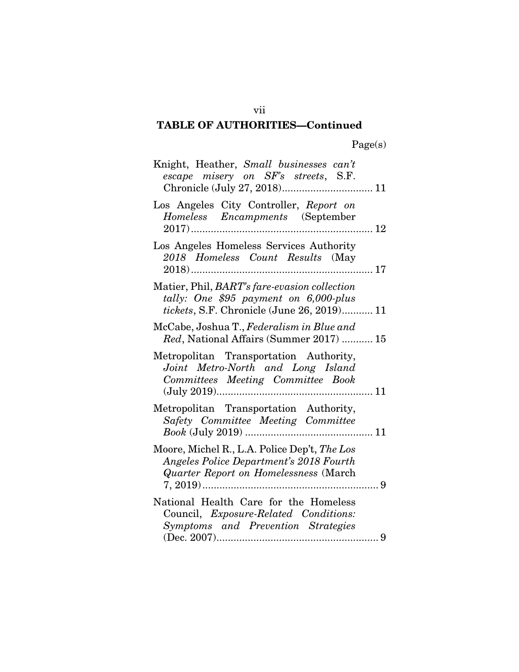| Knight, Heather, Small businesses can't<br>escape misery on SF's streets, S.F.<br>Chronicle (July 27, 2018) 11                              |  |
|---------------------------------------------------------------------------------------------------------------------------------------------|--|
| Los Angeles City Controller, Report on<br>Homeless Encampments (September                                                                   |  |
| Los Angeles Homeless Services Authority<br>2018 Homeless Count Results (May                                                                 |  |
| Matier, Phil, BART's fare-evasion collection<br>tally: One \$95 payment on 6,000-plus<br><i>tickets</i> , S.F. Chronicle (June 26, 2019) 11 |  |
| McCabe, Joshua T., Federalism in Blue and<br>Red, National Affairs (Summer 2017)  15                                                        |  |
| Metropolitan Transportation Authority,<br>Joint Metro-North and Long Island<br>Committees Meeting Committee Book                            |  |
| Metropolitan Transportation Authority,<br>Safety Committee Meeting Committee                                                                |  |
| Moore, Michel R., L.A. Police Dep't, The Los<br>Angeles Police Department's 2018 Fourth<br>Quarter Report on Homelessness (March            |  |
| National Health Care for the Homeless<br>Council, <i>Exposure-Related</i> Conditions:<br>Symptoms and Prevention Strategies                 |  |

vii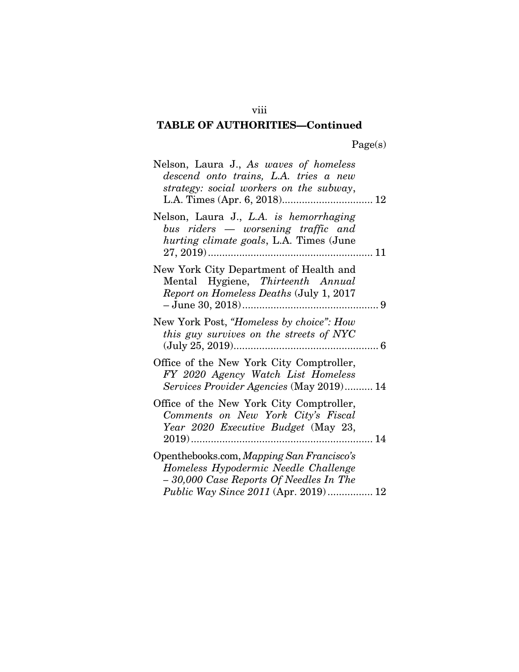| Nelson, Laura J., As waves of homeless<br>descend onto trains, L.A. tries a new<br>strategy: social workers on the subway,                                                 |
|----------------------------------------------------------------------------------------------------------------------------------------------------------------------------|
| Nelson, Laura J., L.A. is hemorrhaging<br>bus riders — worsening traffic and<br>hurting climate goals, L.A. Times (June                                                    |
| New York City Department of Health and<br>Mental Hygiene, Thirteenth Annual<br>Report on Homeless Deaths (July 1, 2017                                                     |
| New York Post, "Homeless by choice": How<br>this guy survives on the streets of NYC                                                                                        |
| Office of the New York City Comptroller,<br>FY 2020 Agency Watch List Homeless<br>Services Provider Agencies (May 2019) 14                                                 |
| Office of the New York City Comptroller,<br>Comments on New York City's Fiscal<br>Year 2020 Executive Budget (May 23,                                                      |
| Openthebooks.com, Mapping San Francisco's<br>Homeless Hypodermic Needle Challenge<br>-30,000 Case Reports Of Needles In The<br><i>Public Way Since 2011</i> (Apr. 2019) 12 |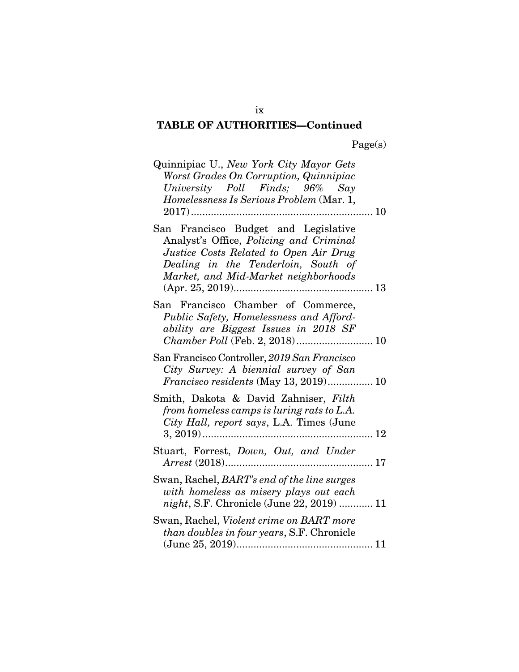| Quinnipiac U., New York City Mayor Gets<br>Worst Grades On Corruption, Quinnipiac<br>University Poll Finds; 96% Say<br>Homelessness Is Serious Problem (Mar. 1,<br>10<br>$2017)$<br>.                    |
|----------------------------------------------------------------------------------------------------------------------------------------------------------------------------------------------------------|
| San Francisco Budget and Legislative<br>Analyst's Office, Policing and Criminal<br>Justice Costs Related to Open Air Drug<br>Dealing in the Tenderloin, South of<br>Market, and Mid-Market neighborhoods |
| San Francisco Chamber of Commerce,<br>Public Safety, Homelessness and Afford-<br>ability are Biggest Issues in 2018 SF                                                                                   |
| San Francisco Controller, 2019 San Francisco<br>City Survey: A biennial survey of San<br>Francisco residents (May 13, 2019) 10                                                                           |
| Smith, Dakota & David Zahniser, Filth<br>from homeless camps is luring rats to L.A.<br>City Hall, report says, L.A. Times (June<br>$3, 2019)$<br>12<br>.                                                 |
| Stuart, Forrest, Down, Out, and Under                                                                                                                                                                    |
| Swan, Rachel, BART's end of the line surges<br>with homeless as misery plays out each<br>night, S.F. Chronicle (June 22, 2019)  11                                                                       |
| Swan, Rachel, Violent crime on BART more<br><i>than doubles in four years, S.F. Chronicle</i>                                                                                                            |

ix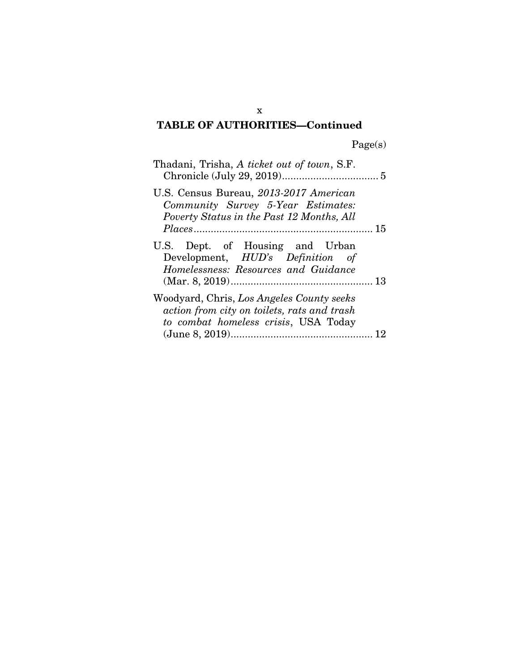Page(s)

| Thadani, Trisha, A ticket out of town, S.F.                                                                                      |
|----------------------------------------------------------------------------------------------------------------------------------|
| U.S. Census Bureau, 2013-2017 American<br>Community Survey 5-Year Estimates:<br>Poverty Status in the Past 12 Months, All        |
|                                                                                                                                  |
| U.S. Dept. of Housing and Urban<br>Development, HUD's Definition of<br>Homelessness: Resources and Guidance                      |
| Woodyard, Chris, Los Angeles County seeks<br>action from city on toilets, rats and trash<br>to combat homeless crisis, USA Today |

x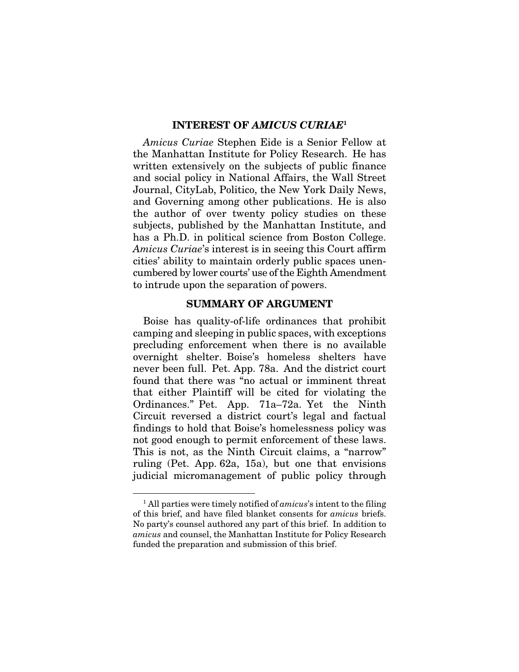#### INTEREST OF *AMICUS CURIAE*<sup>1</sup>

*Amicus Curiae* Stephen Eide is a Senior Fellow at the Manhattan Institute for Policy Research. He has written extensively on the subjects of public finance and social policy in National Affairs, the Wall Street Journal, CityLab, Politico, the New York Daily News, and Governing among other publications. He is also the author of over twenty policy studies on these subjects, published by the Manhattan Institute, and has a Ph.D. in political science from Boston College. *Amicus Curiae*'s interest is in seeing this Court affirm cities' ability to maintain orderly public spaces unencumbered by lower courts' use of the Eighth Amendment to intrude upon the separation of powers.

#### SUMMARY OF ARGUMENT

Boise has quality-of-life ordinances that prohibit camping and sleeping in public spaces, with exceptions precluding enforcement when there is no available overnight shelter. Boise's homeless shelters have never been full. Pet. App. 78a. And the district court found that there was "no actual or imminent threat that either Plaintiff will be cited for violating the Ordinances." Pet. App. 71a–72a. Yet the Ninth Circuit reversed a district court's legal and factual findings to hold that Boise's homelessness policy was not good enough to permit enforcement of these laws. This is not, as the Ninth Circuit claims, a "narrow" ruling (Pet. App. 62a, 15a), but one that envisions judicial micromanagement of public policy through

<sup>1</sup> All parties were timely notified of *amicus*'s intent to the filing of this brief, and have filed blanket consents for *amicus* briefs. No party's counsel authored any part of this brief. In addition to *amicus* and counsel, the Manhattan Institute for Policy Research funded the preparation and submission of this brief.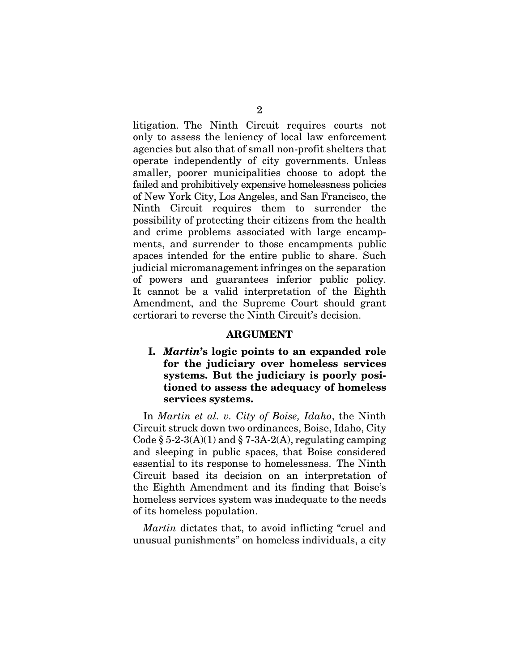litigation. The Ninth Circuit requires courts not only to assess the leniency of local law enforcement agencies but also that of small non-profit shelters that operate independently of city governments. Unless smaller, poorer municipalities choose to adopt the failed and prohibitively expensive homelessness policies of New York City, Los Angeles, and San Francisco, the Ninth Circuit requires them to surrender the possibility of protecting their citizens from the health and crime problems associated with large encampments, and surrender to those encampments public spaces intended for the entire public to share. Such judicial micromanagement infringes on the separation of powers and guarantees inferior public policy. It cannot be a valid interpretation of the Eighth Amendment, and the Supreme Court should grant certiorari to reverse the Ninth Circuit's decision.

#### ARGUMENT

I. *Martin*'s logic points to an expanded role for the judiciary over homeless services systems. But the judiciary is poorly positioned to assess the adequacy of homeless services systems.

In *Martin et al. v. City of Boise, Idaho*, the Ninth Circuit struck down two ordinances, Boise, Idaho, City Code  $\S 5-2-3(A)(1)$  and  $\S 7-3A-2(A)$ , regulating camping and sleeping in public spaces, that Boise considered essential to its response to homelessness. The Ninth Circuit based its decision on an interpretation of the Eighth Amendment and its finding that Boise's homeless services system was inadequate to the needs of its homeless population.

*Martin* dictates that, to avoid inflicting "cruel and unusual punishments" on homeless individuals, a city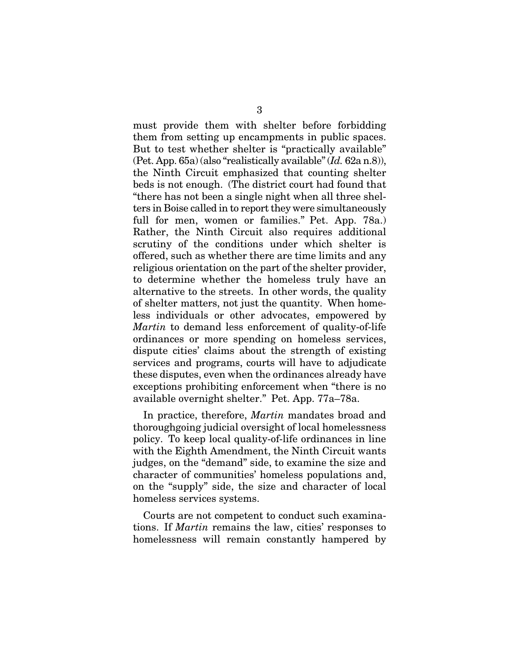must provide them with shelter before forbidding them from setting up encampments in public spaces. But to test whether shelter is "practically available" (Pet. App. 65a) (also "realistically available" (*Id.* 62a n.8)), the Ninth Circuit emphasized that counting shelter beds is not enough. (The district court had found that "there has not been a single night when all three shelters in Boise called in to report they were simultaneously full for men, women or families." Pet. App. 78a.) Rather, the Ninth Circuit also requires additional scrutiny of the conditions under which shelter is offered, such as whether there are time limits and any religious orientation on the part of the shelter provider, to determine whether the homeless truly have an alternative to the streets. In other words, the quality of shelter matters, not just the quantity. When homeless individuals or other advocates, empowered by *Martin* to demand less enforcement of quality-of-life ordinances or more spending on homeless services, dispute cities' claims about the strength of existing services and programs, courts will have to adjudicate these disputes, even when the ordinances already have exceptions prohibiting enforcement when "there is no available overnight shelter." Pet. App. 77a–78a.

In practice, therefore, *Martin* mandates broad and thoroughgoing judicial oversight of local homelessness policy. To keep local quality-of-life ordinances in line with the Eighth Amendment, the Ninth Circuit wants judges, on the "demand" side, to examine the size and character of communities' homeless populations and, on the "supply" side, the size and character of local homeless services systems.

Courts are not competent to conduct such examinations. If *Martin* remains the law, cities' responses to homelessness will remain constantly hampered by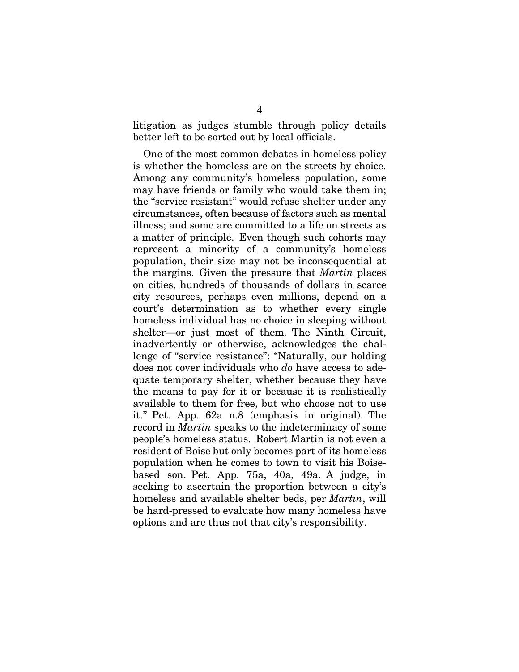litigation as judges stumble through policy details better left to be sorted out by local officials.

One of the most common debates in homeless policy is whether the homeless are on the streets by choice. Among any community's homeless population, some may have friends or family who would take them in; the "service resistant" would refuse shelter under any circumstances, often because of factors such as mental illness; and some are committed to a life on streets as a matter of principle. Even though such cohorts may represent a minority of a community's homeless population, their size may not be inconsequential at the margins. Given the pressure that *Martin* places on cities, hundreds of thousands of dollars in scarce city resources, perhaps even millions, depend on a court's determination as to whether every single homeless individual has no choice in sleeping without shelter—or just most of them. The Ninth Circuit, inadvertently or otherwise, acknowledges the challenge of "service resistance": "Naturally, our holding does not cover individuals who *do* have access to adequate temporary shelter, whether because they have the means to pay for it or because it is realistically available to them for free, but who choose not to use it." Pet. App. 62a n.8 (emphasis in original). The record in *Martin* speaks to the indeterminacy of some people's homeless status. Robert Martin is not even a resident of Boise but only becomes part of its homeless population when he comes to town to visit his Boisebased son. Pet. App. 75a, 40a, 49a. A judge, in seeking to ascertain the proportion between a city's homeless and available shelter beds, per *Martin*, will be hard-pressed to evaluate how many homeless have options and are thus not that city's responsibility.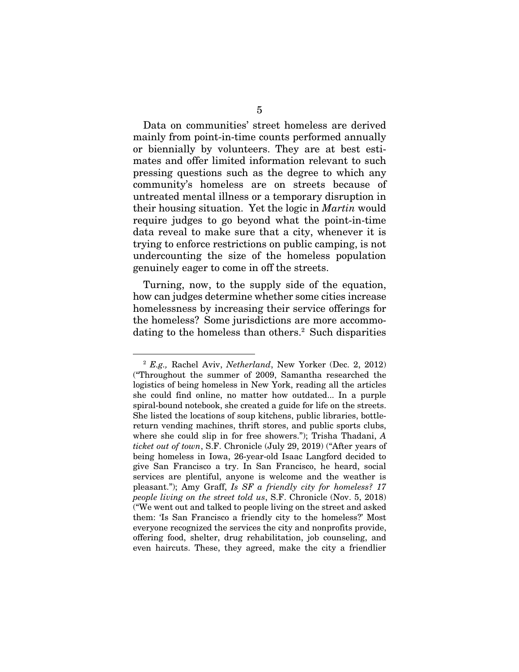Data on communities' street homeless are derived mainly from point-in-time counts performed annually or biennially by volunteers. They are at best estimates and offer limited information relevant to such pressing questions such as the degree to which any community's homeless are on streets because of untreated mental illness or a temporary disruption in their housing situation. Yet the logic in *Martin* would require judges to go beyond what the point-in-time data reveal to make sure that a city, whenever it is trying to enforce restrictions on public camping, is not undercounting the size of the homeless population genuinely eager to come in off the streets.

Turning, now, to the supply side of the equation, how can judges determine whether some cities increase homelessness by increasing their service offerings for the homeless? Some jurisdictions are more accommodating to the homeless than others.<sup>2</sup> Such disparities

<sup>2</sup> *E.g.,* Rachel Aviv, *Netherland*, New Yorker (Dec. 2, 2012) ("Throughout the summer of 2009, Samantha researched the logistics of being homeless in New York, reading all the articles she could find online, no matter how outdated... In a purple spiral-bound notebook, she created a guide for life on the streets. She listed the locations of soup kitchens, public libraries, bottlereturn vending machines, thrift stores, and public sports clubs, where she could slip in for free showers."); Trisha Thadani, *A ticket out of town*, S.F. Chronicle (July 29, 2019) ("After years of being homeless in Iowa, 26-year-old Isaac Langford decided to give San Francisco a try. In San Francisco, he heard, social services are plentiful, anyone is welcome and the weather is pleasant."); Amy Graff, *Is SF a friendly city for homeless? 17 people living on the street told us*, S.F. Chronicle (Nov. 5, 2018) ("We went out and talked to people living on the street and asked them: 'Is San Francisco a friendly city to the homeless?' Most everyone recognized the services the city and nonprofits provide, offering food, shelter, drug rehabilitation, job counseling, and even haircuts. These, they agreed, make the city a friendlier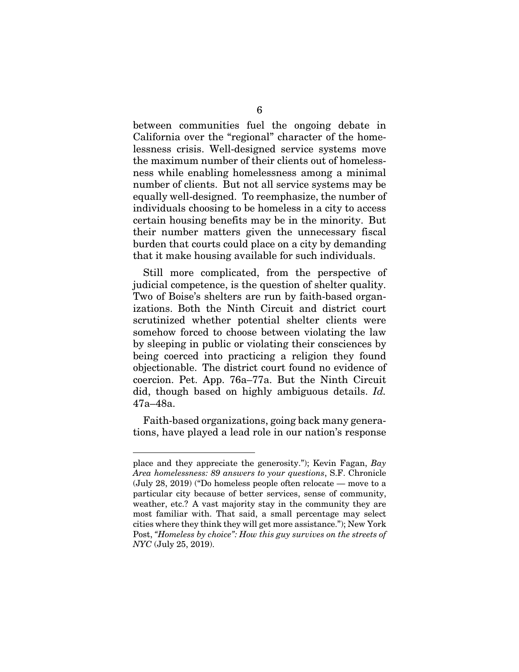between communities fuel the ongoing debate in California over the "regional" character of the homelessness crisis. Well-designed service systems move the maximum number of their clients out of homelessness while enabling homelessness among a minimal number of clients. But not all service systems may be equally well-designed. To reemphasize, the number of individuals choosing to be homeless in a city to access certain housing benefits may be in the minority. But their number matters given the unnecessary fiscal burden that courts could place on a city by demanding that it make housing available for such individuals.

Still more complicated, from the perspective of judicial competence, is the question of shelter quality. Two of Boise's shelters are run by faith-based organizations. Both the Ninth Circuit and district court scrutinized whether potential shelter clients were somehow forced to choose between violating the law by sleeping in public or violating their consciences by being coerced into practicing a religion they found objectionable. The district court found no evidence of coercion. Pet. App. 76a–77a. But the Ninth Circuit did, though based on highly ambiguous details. *Id.*  47a–48a.

Faith-based organizations, going back many generations, have played a lead role in our nation's response

place and they appreciate the generosity."); Kevin Fagan, *Bay Area homelessness: 89 answers to your questions*, S.F. Chronicle (July 28, 2019) ("Do homeless people often relocate — move to a particular city because of better services, sense of community, weather, etc.? A vast majority stay in the community they are most familiar with. That said, a small percentage may select cities where they think they will get more assistance."); New York Post, *"Homeless by choice": How this guy survives on the streets of NYC* (July 25, 2019).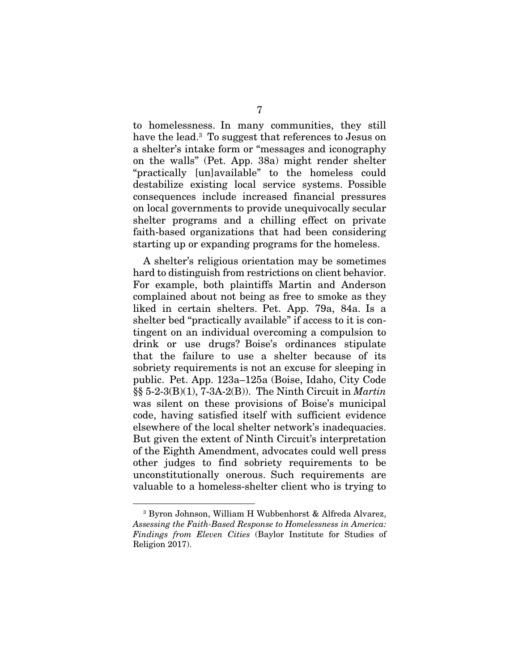to homelessness. In many communities, they still have the lead.3 To suggest that references to Jesus on a shelter's intake form or "messages and iconography on the walls" (Pet. App. 38a) might render shelter "practically [un]available" to the homeless could destabilize existing local service systems. Possible consequences include increased financial pressures on local governments to provide unequivocally secular shelter programs and a chilling effect on private faith-based organizations that had been considering starting up or expanding programs for the homeless.

A shelter's religious orientation may be sometimes hard to distinguish from restrictions on client behavior. For example, both plaintiffs Martin and Anderson complained about not being as free to smoke as they liked in certain shelters. Pet. App. 79a, 84a. Is a shelter bed "practically available" if access to it is contingent on an individual overcoming a compulsion to drink or use drugs? Boise's ordinances stipulate that the failure to use a shelter because of its sobriety requirements is not an excuse for sleeping in public. Pet. App. 123a–125a (Boise, Idaho, City Code §§ 5-2-3(B)(1), 7-3A-2(B)). The Ninth Circuit in *Martin* was silent on these provisions of Boise's municipal code, having satisfied itself with sufficient evidence elsewhere of the local shelter network's inadequacies. But given the extent of Ninth Circuit's interpretation of the Eighth Amendment, advocates could well press other judges to find sobriety requirements to be unconstitutionally onerous. Such requirements are valuable to a homeless-shelter client who is trying to

<sup>3</sup> Byron Johnson, William H Wubbenhorst & Alfreda Alvarez, *Assessing the Faith-Based Response to Homelessness in America: Findings from Eleven Cities* (Baylor Institute for Studies of Religion 2017).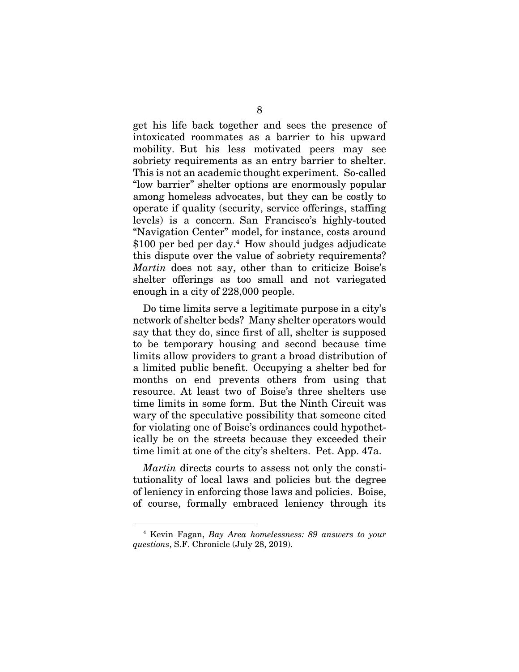get his life back together and sees the presence of intoxicated roommates as a barrier to his upward mobility. But his less motivated peers may see sobriety requirements as an entry barrier to shelter. This is not an academic thought experiment. So-called "low barrier" shelter options are enormously popular among homeless advocates, but they can be costly to operate if quality (security, service offerings, staffing levels) is a concern. San Francisco's highly-touted "Navigation Center" model, for instance, costs around  $$100$  per bed per day.<sup>4</sup> How should judges adjudicate this dispute over the value of sobriety requirements? *Martin* does not say, other than to criticize Boise's shelter offerings as too small and not variegated enough in a city of 228,000 people.

Do time limits serve a legitimate purpose in a city's network of shelter beds? Many shelter operators would say that they do, since first of all, shelter is supposed to be temporary housing and second because time limits allow providers to grant a broad distribution of a limited public benefit. Occupying a shelter bed for months on end prevents others from using that resource. At least two of Boise's three shelters use time limits in some form. But the Ninth Circuit was wary of the speculative possibility that someone cited for violating one of Boise's ordinances could hypothetically be on the streets because they exceeded their time limit at one of the city's shelters. Pet. App. 47a.

*Martin* directs courts to assess not only the constitutionality of local laws and policies but the degree of leniency in enforcing those laws and policies. Boise, of course, formally embraced leniency through its

<sup>4</sup> Kevin Fagan, *Bay Area homelessness: 89 answers to your questions*, S.F. Chronicle (July 28, 2019).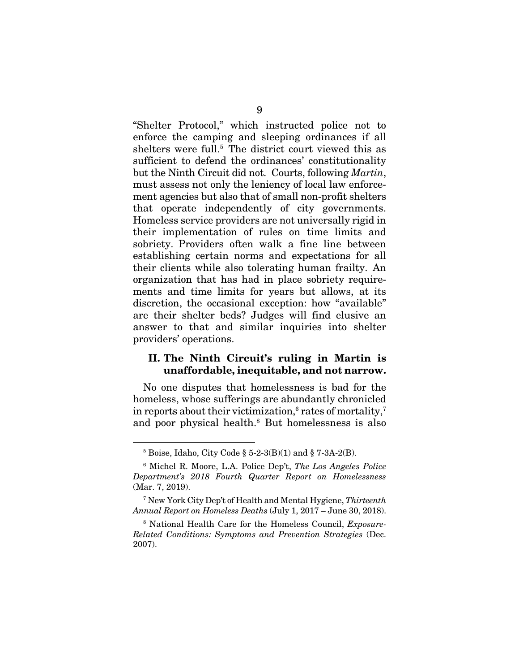"Shelter Protocol," which instructed police not to enforce the camping and sleeping ordinances if all shelters were full.<sup>5</sup> The district court viewed this as sufficient to defend the ordinances' constitutionality but the Ninth Circuit did not. Courts, following *Martin*, must assess not only the leniency of local law enforcement agencies but also that of small non-profit shelters that operate independently of city governments. Homeless service providers are not universally rigid in their implementation of rules on time limits and sobriety. Providers often walk a fine line between establishing certain norms and expectations for all their clients while also tolerating human frailty. An organization that has had in place sobriety requirements and time limits for years but allows, at its discretion, the occasional exception: how "available" are their shelter beds? Judges will find elusive an answer to that and similar inquiries into shelter providers' operations.

#### II. The Ninth Circuit's ruling in Martin is unaffordable, inequitable, and not narrow.

No one disputes that homelessness is bad for the homeless, whose sufferings are abundantly chronicled in reports about their victimization,<sup>6</sup> rates of mortality,<sup>7</sup> and poor physical health.8 But homelessness is also

 $5$  Boise, Idaho, City Code § 5-2-3(B)(1) and § 7-3A-2(B).

<sup>6</sup> Michel R. Moore, L.A. Police Dep't, *The Los Angeles Police Department's 2018 Fourth Quarter Report on Homelessness* (Mar. 7, 2019).

<sup>7</sup> New York City Dep't of Health and Mental Hygiene, *Thirteenth Annual Report on Homeless Deaths* (July 1, 2017 – June 30, 2018).

<sup>8</sup> National Health Care for the Homeless Council, *Exposure-Related Conditions: Symptoms and Prevention Strategies* (Dec. 2007).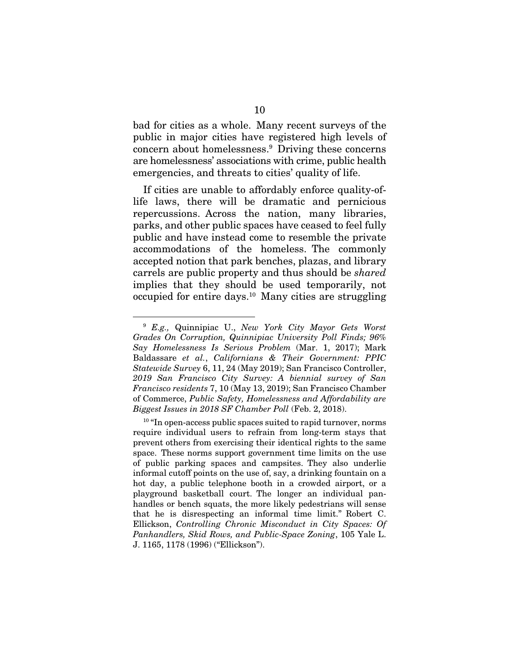bad for cities as a whole. Many recent surveys of the public in major cities have registered high levels of concern about homelessness.9 Driving these concerns are homelessness' associations with crime, public health emergencies, and threats to cities' quality of life.

If cities are unable to affordably enforce quality-oflife laws, there will be dramatic and pernicious repercussions. Across the nation, many libraries, parks, and other public spaces have ceased to feel fully public and have instead come to resemble the private accommodations of the homeless. The commonly accepted notion that park benches, plazas, and library carrels are public property and thus should be *shared* implies that they should be used temporarily, not occupied for entire days.10 Many cities are struggling

<sup>9</sup> *E.g.,* Quinnipiac U., *New York City Mayor Gets Worst Grades On Corruption, Quinnipiac University Poll Finds; 96% Say Homelessness Is Serious Problem* (Mar. 1, 2017); Mark Baldassare *et al.*, *Californians & Their Government: PPIC Statewide Survey* 6, 11, 24 (May 2019); San Francisco Controller, *2019 San Francisco City Survey: A biennial survey of San Francisco residents* 7, 10 (May 13, 2019); San Francisco Chamber of Commerce, *Public Safety, Homelessness and Affordability are Biggest Issues in 2018 SF Chamber Poll* (Feb. 2, 2018).

 $10$  "In open-access public spaces suited to rapid turnover, norms require individual users to refrain from long-term stays that prevent others from exercising their identical rights to the same space. These norms support government time limits on the use of public parking spaces and campsites. They also underlie informal cutoff points on the use of, say, a drinking fountain on a hot day, a public telephone booth in a crowded airport, or a playground basketball court. The longer an individual panhandles or bench squats, the more likely pedestrians will sense that he is disrespecting an informal time limit." Robert C. Ellickson, *Controlling Chronic Misconduct in City Spaces: Of Panhandlers, Skid Rows, and Public-Space Zoning*, 105 Yale L. J. 1165, 1178 (1996) ("Ellickson").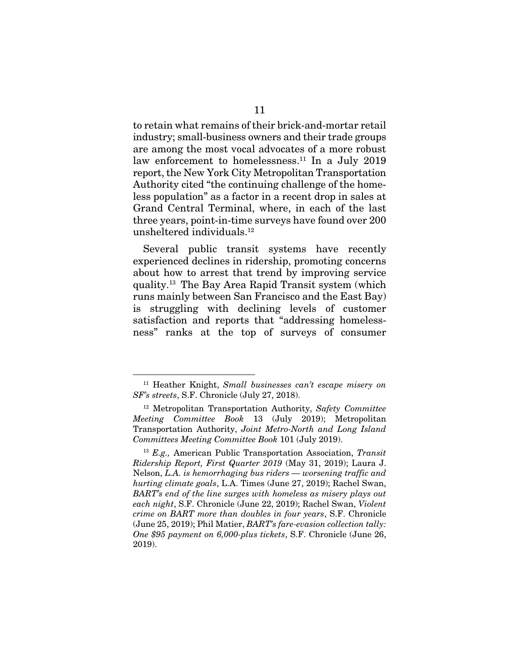to retain what remains of their brick-and-mortar retail industry; small-business owners and their trade groups are among the most vocal advocates of a more robust law enforcement to homelessness.<sup>11</sup> In a July 2019 report, the New York City Metropolitan Transportation Authority cited "the continuing challenge of the homeless population" as a factor in a recent drop in sales at Grand Central Terminal, where, in each of the last three years, point-in-time surveys have found over 200 unsheltered individuals.12

Several public transit systems have recently experienced declines in ridership, promoting concerns about how to arrest that trend by improving service quality.13 The Bay Area Rapid Transit system (which runs mainly between San Francisco and the East Bay) is struggling with declining levels of customer satisfaction and reports that "addressing homelessness" ranks at the top of surveys of consumer

<sup>11</sup> Heather Knight, *Small businesses can't escape misery on SF's streets*, S.F. Chronicle (July 27, 2018).

<sup>12</sup> Metropolitan Transportation Authority, *Safety Committee Meeting Committee Book* 13 (July 2019); Metropolitan Transportation Authority, *Joint Metro-North and Long Island Committees Meeting Committee Book* 101 (July 2019).

<sup>13</sup> *E.g.,* American Public Transportation Association, *Transit Ridership Report, First Quarter 2019* (May 31, 2019); Laura J. Nelson, *L.A. is hemorrhaging bus riders — worsening traffic and hurting climate goals*, L.A. Times (June 27, 2019); Rachel Swan, *BART's end of the line surges with homeless as misery plays out each night*, S.F. Chronicle (June 22, 2019); Rachel Swan, *Violent crime on BART more than doubles in four years*, S.F. Chronicle (June 25, 2019); Phil Matier, *BART's fare-evasion collection tally: One \$95 payment on 6,000-plus tickets*, S.F. Chronicle (June 26, 2019).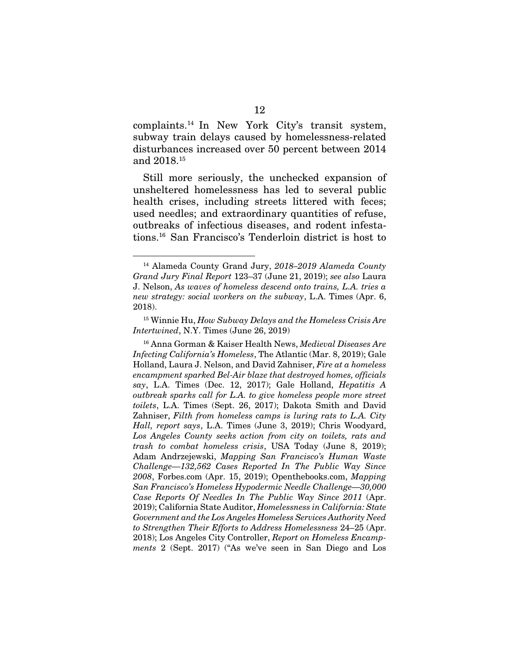complaints.14 In New York City's transit system, subway train delays caused by homelessness-related disturbances increased over 50 percent between 2014 and 2018.15

Still more seriously, the unchecked expansion of unsheltered homelessness has led to several public health crises, including streets littered with feces; used needles; and extraordinary quantities of refuse, outbreaks of infectious diseases, and rodent infestations.16 San Francisco's Tenderloin district is host to

<sup>14</sup> Alameda County Grand Jury, *2018–2019 Alameda County Grand Jury Final Report* 123–37 (June 21, 2019); *see also* Laura J. Nelson, *As waves of homeless descend onto trains, L.A. tries a new strategy: social workers on the subway*, L.A. Times (Apr. 6, 2018).

<sup>15</sup> Winnie Hu, *How Subway Delays and the Homeless Crisis Are Intertwined*, N.Y. Times (June 26, 2019)

<sup>16</sup> Anna Gorman & Kaiser Health News, *Medieval Diseases Are Infecting California's Homeless*, The Atlantic (Mar. 8, 2019); Gale Holland, Laura J. Nelson, and David Zahniser, *Fire at a homeless encampment sparked Bel-Air blaze that destroyed homes, officials say*, L.A. Times (Dec. 12, 2017); Gale Holland, *Hepatitis A outbreak sparks call for L.A. to give homeless people more street toilets*, L.A. Times (Sept. 26, 2017); Dakota Smith and David Zahniser, *Filth from homeless camps is luring rats to L.A. City Hall, report says*, L.A. Times (June 3, 2019); Chris Woodyard, *Los Angeles County seeks action from city on toilets, rats and trash to combat homeless crisis*, USA Today (June 8, 2019); Adam Andrzejewski, *Mapping San Francisco's Human Waste Challenge—132,562 Cases Reported In The Public Way Since 2008*, Forbes.com (Apr. 15, 2019); Openthebooks.com, *Mapping San Francisco's Homeless Hypodermic Needle Challenge—30,000 Case Reports Of Needles In The Public Way Since 2011* (Apr. 2019); California State Auditor, *Homelessness in California: State Government and the Los Angeles Homeless Services Authority Need to Strengthen Their Efforts to Address Homelessness* 24–25 (Apr. 2018); Los Angeles City Controller, *Report on Homeless Encampments* 2 (Sept. 2017) ("As we've seen in San Diego and Los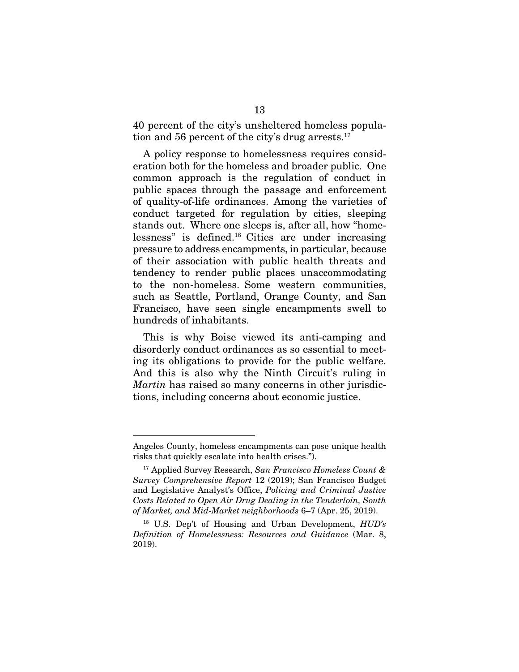40 percent of the city's unsheltered homeless population and 56 percent of the city's drug arrests. $17$ 

A policy response to homelessness requires consideration both for the homeless and broader public. One common approach is the regulation of conduct in public spaces through the passage and enforcement of quality-of-life ordinances. Among the varieties of conduct targeted for regulation by cities, sleeping stands out. Where one sleeps is, after all, how "homelessness" is defined.18 Cities are under increasing pressure to address encampments, in particular, because of their association with public health threats and tendency to render public places unaccommodating to the non-homeless. Some western communities, such as Seattle, Portland, Orange County, and San Francisco, have seen single encampments swell to hundreds of inhabitants.

This is why Boise viewed its anti-camping and disorderly conduct ordinances as so essential to meeting its obligations to provide for the public welfare. And this is also why the Ninth Circuit's ruling in *Martin* has raised so many concerns in other jurisdictions, including concerns about economic justice.

Angeles County, homeless encampments can pose unique health risks that quickly escalate into health crises.").

<sup>17</sup> Applied Survey Research, *San Francisco Homeless Count & Survey Comprehensive Report* 12 (2019); San Francisco Budget and Legislative Analyst's Office, *Policing and Criminal Justice Costs Related to Open Air Drug Dealing in the Tenderloin, South of Market, and Mid‐Market neighborhoods* 6–7 (Apr. 25, 2019).

<sup>18</sup> U.S. Dep't of Housing and Urban Development, *HUD's Definition of Homelessness: Resources and Guidance* (Mar. 8, 2019).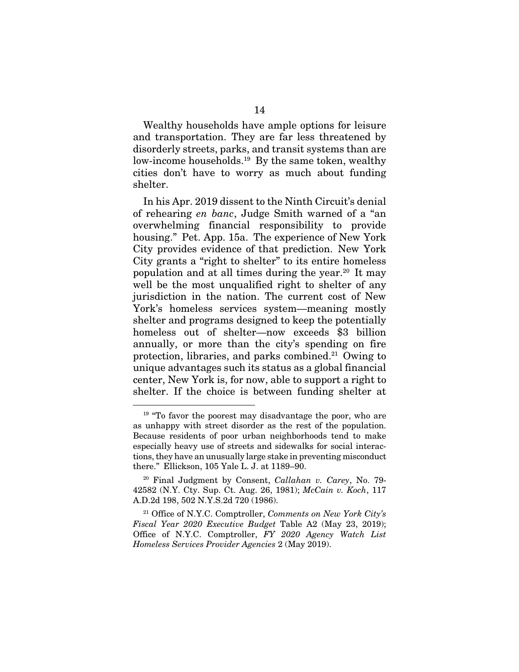Wealthy households have ample options for leisure and transportation. They are far less threatened by disorderly streets, parks, and transit systems than are low-income households.<sup>19</sup> By the same token, wealthy cities don't have to worry as much about funding shelter.

In his Apr. 2019 dissent to the Ninth Circuit's denial of rehearing *en banc*, Judge Smith warned of a "an overwhelming financial responsibility to provide housing." Pet. App. 15a. The experience of New York City provides evidence of that prediction. New York City grants a "right to shelter" to its entire homeless population and at all times during the year.20 It may well be the most unqualified right to shelter of any jurisdiction in the nation. The current cost of New York's homeless services system—meaning mostly shelter and programs designed to keep the potentially homeless out of shelter—now exceeds \$3 billion annually, or more than the city's spending on fire protection, libraries, and parks combined.21 Owing to unique advantages such its status as a global financial center, New York is, for now, able to support a right to shelter. If the choice is between funding shelter at

<sup>&</sup>lt;sup>19</sup> "To favor the poorest may disadvantage the poor, who are as unhappy with street disorder as the rest of the population. Because residents of poor urban neighborhoods tend to make especially heavy use of streets and sidewalks for social interactions, they have an unusually large stake in preventing misconduct there." Ellickson, 105 Yale L. J. at 1189–90.

<sup>20</sup> Final Judgment by Consent, *Callahan v. Carey*, No. 79- 42582 (N.Y. Cty. Sup. Ct. Aug. 26, 1981); *McCain v. Koch*, 117 A.D.2d 198, 502 N.Y.S.2d 720 (1986).

<sup>21</sup> Office of N.Y.C. Comptroller, *Comments on New York City's Fiscal Year 2020 Executive Budget* Table A2 (May 23, 2019); Office of N.Y.C. Comptroller, *FY 2020 Agency Watch List Homeless Services Provider Agencies* 2 (May 2019).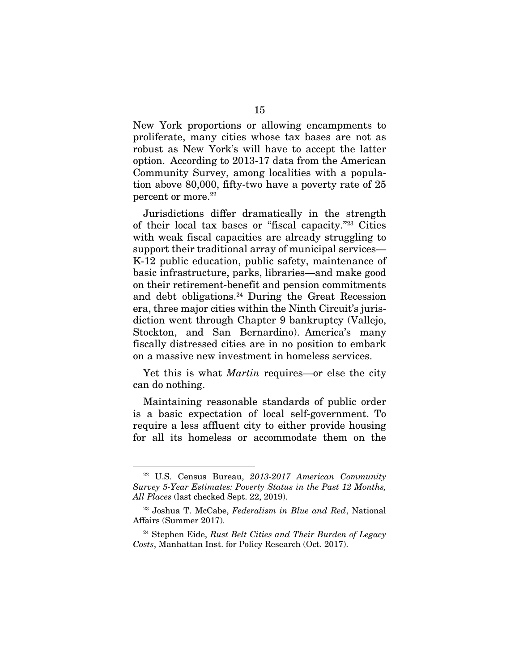New York proportions or allowing encampments to proliferate, many cities whose tax bases are not as robust as New York's will have to accept the latter option. According to 2013-17 data from the American Community Survey, among localities with a population above 80,000, fifty-two have a poverty rate of 25 percent or more.<sup>22</sup>

Jurisdictions differ dramatically in the strength of their local tax bases or "fiscal capacity."23 Cities with weak fiscal capacities are already struggling to support their traditional array of municipal services— K-12 public education, public safety, maintenance of basic infrastructure, parks, libraries—and make good on their retirement-benefit and pension commitments and debt obligations. $24$  During the Great Recession era, three major cities within the Ninth Circuit's jurisdiction went through Chapter 9 bankruptcy (Vallejo, Stockton, and San Bernardino). America's many fiscally distressed cities are in no position to embark on a massive new investment in homeless services.

Yet this is what *Martin* requires—or else the city can do nothing.

Maintaining reasonable standards of public order is a basic expectation of local self-government. To require a less affluent city to either provide housing for all its homeless or accommodate them on the

<sup>22</sup> U.S. Census Bureau, *2013-2017 American Community Survey 5-Year Estimates: Poverty Status in the Past 12 Months, All Places* (last checked Sept. 22, 2019).

<sup>23</sup> Joshua T. McCabe, *Federalism in Blue and Red*, National Affairs (Summer 2017).

<sup>24</sup> Stephen Eide, *Rust Belt Cities and Their Burden of Legacy Costs*, Manhattan Inst. for Policy Research (Oct. 2017).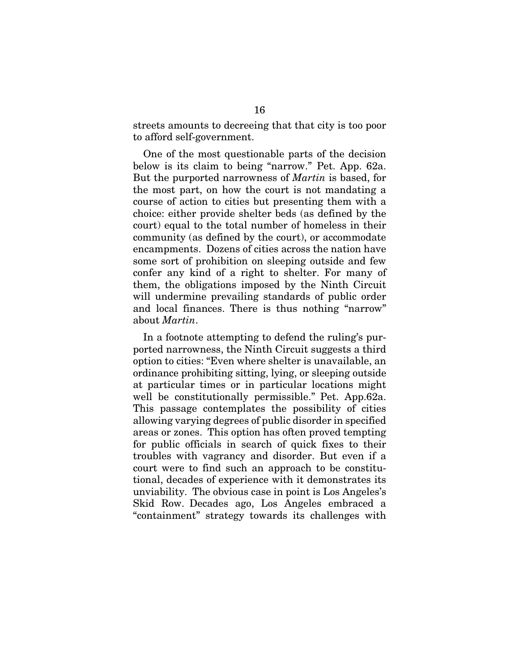streets amounts to decreeing that that city is too poor to afford self-government.

One of the most questionable parts of the decision below is its claim to being "narrow." Pet. App. 62a. But the purported narrowness of *Martin* is based, for the most part, on how the court is not mandating a course of action to cities but presenting them with a choice: either provide shelter beds (as defined by the court) equal to the total number of homeless in their community (as defined by the court), or accommodate encampments. Dozens of cities across the nation have some sort of prohibition on sleeping outside and few confer any kind of a right to shelter. For many of them, the obligations imposed by the Ninth Circuit will undermine prevailing standards of public order and local finances. There is thus nothing "narrow" about *Martin*.

In a footnote attempting to defend the ruling's purported narrowness, the Ninth Circuit suggests a third option to cities: "Even where shelter is unavailable, an ordinance prohibiting sitting, lying, or sleeping outside at particular times or in particular locations might well be constitutionally permissible." Pet. App.62a. This passage contemplates the possibility of cities allowing varying degrees of public disorder in specified areas or zones. This option has often proved tempting for public officials in search of quick fixes to their troubles with vagrancy and disorder. But even if a court were to find such an approach to be constitutional, decades of experience with it demonstrates its unviability. The obvious case in point is Los Angeles's Skid Row. Decades ago, Los Angeles embraced a "containment" strategy towards its challenges with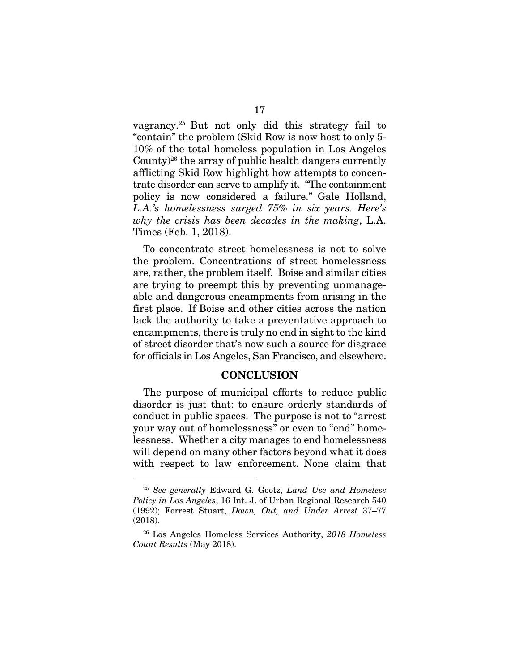vagrancy.25 But not only did this strategy fail to "contain" the problem (Skid Row is now host to only 5- 10% of the total homeless population in Los Angeles County)26 the array of public health dangers currently afflicting Skid Row highlight how attempts to concentrate disorder can serve to amplify it. "The containment policy is now considered a failure." Gale Holland, *L.A.'s homelessness surged 75% in six years. Here's why the crisis has been decades in the making*, L.A. Times (Feb. 1, 2018).

To concentrate street homelessness is not to solve the problem. Concentrations of street homelessness are, rather, the problem itself. Boise and similar cities are trying to preempt this by preventing unmanageable and dangerous encampments from arising in the first place. If Boise and other cities across the nation lack the authority to take a preventative approach to encampments, there is truly no end in sight to the kind of street disorder that's now such a source for disgrace for officials in Los Angeles, San Francisco, and elsewhere.

#### **CONCLUSION**

The purpose of municipal efforts to reduce public disorder is just that: to ensure orderly standards of conduct in public spaces. The purpose is not to "arrest your way out of homelessness" or even to "end" homelessness. Whether a city manages to end homelessness will depend on many other factors beyond what it does with respect to law enforcement. None claim that

<sup>25</sup> *See generally* Edward G. Goetz, *Land Use and Homeless Policy in Los Angeles*, 16 Int. J. of Urban Regional Research 540 (1992); Forrest Stuart, *Down, Out, and Under Arrest* 37–77 (2018).

<sup>26</sup> Los Angeles Homeless Services Authority, *2018 Homeless Count Results* (May 2018).